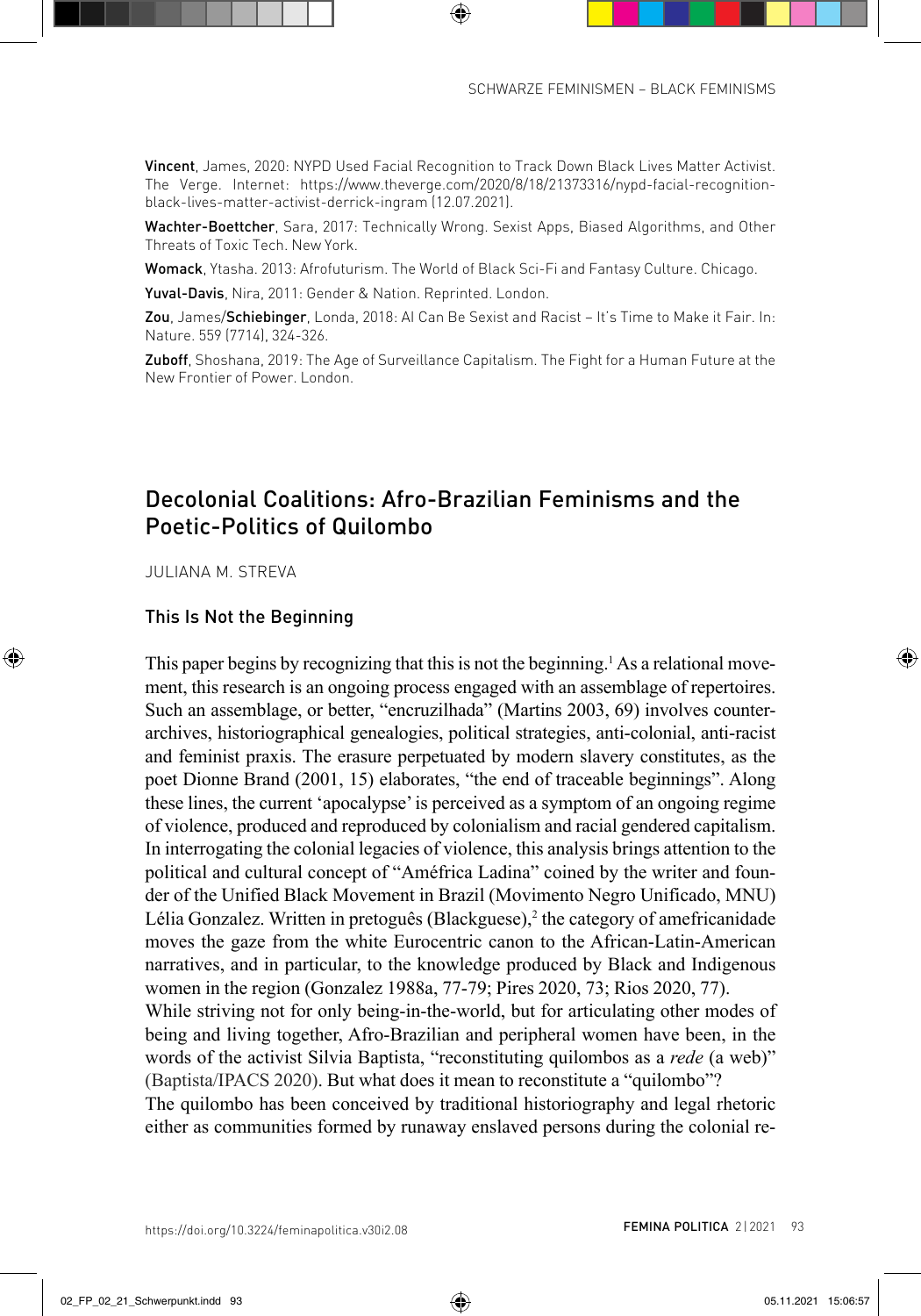Vincent, James, 2020: NYPD Used Facial Recognition to Track Down Black Lives Matter Activist. [The Verge. Internet: https://www.theverge.com/2020/8/18/21373316/nypd-facial-recognition](https://www.theverge.com/2020/8/18/21373316/nypd-facial-recognition-black-FEMINA)black-lives-matter-activist-derrick-ingram (12.07.2021).

Wachter-Boettcher, Sara, 2017: Technically Wrong. Sexist Apps, Biased Algorithms, and Other Threats of Toxic Tech. New York.

Womack, Ytasha. 2013: Afrofuturism. The World of Black Sci-Fi and Fantasy Culture. Chicago.

Yuval-Davis, Nira, 2011: Gender & Nation. Reprinted. London.

Zou, James/Schiebinger, Londa, 2018: AI Can Be Sexist and Racist – It's Time to Make it Fair. In: Nature. 559 (7714), 324-326.

Zuboff, Shoshana, 2019: The Age of Surveillance Capitalism. The Fight for a Human Future at the New Frontier of Power. London.

## Decolonial Coalitions: Afro-Brazilian Feminisms and the Poetic-Politics of Quilombo

JULIANA M. STREVA

## This Is Not the Beginning

This paper begins by recognizing that this is not the beginning.<sup>1</sup> As a relational movement, this research is an ongoing process engaged with an assemblage of repertoires. Such an assemblage, or better, "encruzilhada" (Martins 2003, 69) involves counterarchives, historiographical genealogies, political strategies, anti-colonial, anti-racist and feminist praxis. The erasure perpetuated by modern slavery constitutes, as the poet Dionne Brand (2001, 15) elaborates, "the end of traceable beginnings". Along these lines, the current 'apocalypse' is perceived as a symptom of an ongoing regime of violence, produced and reproduced by colonialism and racial gendered capitalism. In interrogating the colonial legacies of violence, this analysis brings attention to the political and cultural concept of "Améfrica Ladina" coined by the writer and founder of the Unified Black Movement in Brazil (Movimento Negro Unificado, MNU) Lélia Gonzalez. Written in pretoguês (Blackguese),<sup>2</sup> the category of amefricanidade moves the gaze from the white Eurocentric canon to the African-Latin-American narratives, and in particular, to the knowledge produced by Black and Indigenous women in the region (Gonzalez 1988a, 77-79; Pires 2020, 73; Rios 2020, 77). While striving not for only being-in-the-world, but for articulating other modes of being and living together, Afro-Brazilian and peripheral women have been, in the words of the activist Silvia Baptista, "reconstituting quilombos as a *rede* (a web)" (Baptista/IPACS 2020). But what does it mean to reconstitute a "quilombo"? The quilombo has been conceived by traditional historiography and legal rhetoric either as communities formed by runaway enslaved persons during the colonial re